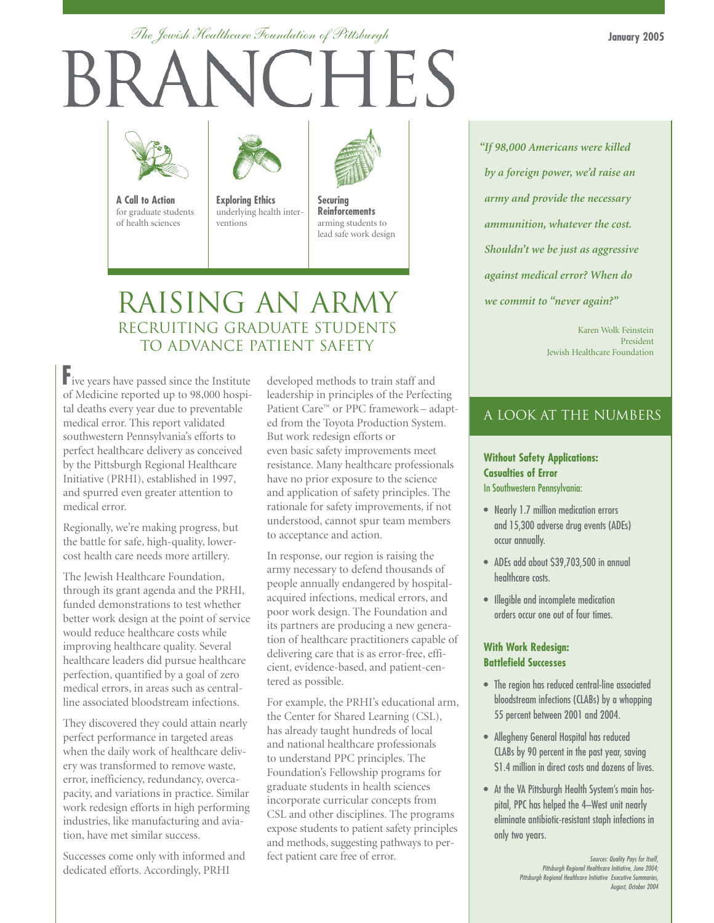**January 2005**

### *The Jewish Healthcare Foundation of Pittsburgh*

# CHES



**A Call to Action** for graduate students of health sciences

**Exploring Ethics** underlying health inter-

ventions



**Securing Reinforcements** arming students to lead safe work design

## RAISING AN ARMY RECRUITING GRADUATE STUDENTS TO ADVANCE PATIENT SAFETY

**F**ive years have passed since the Institute of Medicine reported up to 98,000 hospital deaths every year due to preventable medical error. This report validated southwestern Pennsylvania's efforts to perfect healthcare delivery as conceived by the Pittsburgh Regional Healthcare Initiative (PRHI), established in 1997, and spurred even greater attention to medical error.

Regionally, we're making progress, but the battle for safe, high-quality, lowercost health care needs more artillery.

The Jewish Healthcare Foundation, through its grant agenda and the PRHI, funded demonstrations to test whether better work design at the point of service would reduce healthcare costs while improving healthcare quality. Several healthcare leaders did pursue healthcare perfection, quantified by a goal of zero medical errors, in areas such as centralline associated bloodstream infections.

They discovered they could attain nearly perfect performance in targeted areas when the daily work of healthcare delivery was transformed to remove waste, error, inefficiency, redundancy, overcapacity, and variations in practice. Similar work redesign efforts in high performing industries, like manufacturing and aviation, have met similar success.

Successes come only with informed and dedicated efforts. Accordingly, PRHI

developed methods to train staff and leadership in principles of the Perfecting Patient Care™ or PPC framework – adapted from the Toyota Production System. But work redesign efforts or even basic safety improvements meet resistance. Many healthcare professionals have no prior exposure to the science and application of safety principles. The rationale for safety improvements, if not understood, cannot spur team members to acceptance and action.

In response, our region is raising the army necessary to defend thousands of people annually endangered by hospitalacquired infections, medical errors, and poor work design. The Foundation and its partners are producing a new generation of healthcare practitioners capable of delivering care that is as error-free, efficient, evidence-based, and patient-centered as possible.

For example, the PRHI's educational arm, the Center for Shared Learning (CSL), has already taught hundreds of local and national healthcare professionals to understand PPC principles. The Foundation's Fellowship programs for graduate students in health sciences incorporate curricular concepts from CSL and other disciplines. The programs expose students to patient safety principles and methods, suggesting pathways to perfect patient care free of error. Sources: Quality Pays for Itself,

*"If 98,000 Americans were killed by a foreign power, we'd raise an army and provide the necessary ammunition, whatever the cost. Shouldn't we be just as aggressive against medical error? When do we commit to "never again?"*

> Karen Wolk Feinstein President Jewish Healthcare Foundation

### A LOOK AT THE NUMBERS

### **Without Safety Applications: Casualties of Error** In Southwestern Pennsylvania:

- Nearly 1.7 million medication errors and 15,300 adverse drug events (ADEs) occur annually.
- ADEs add about \$39,703,500 in annual healthcare costs.
- Illegible and incomplete medication orders occur one out of four times.

### **With Work Redesign: Battlefield Successes**

- The region has reduced central-line associated bloodstream infections (CLABs) by a whopping 55 percent between 2001 and 2004.
- Allegheny General Hospital has reduced CLABs by 90 percent in the past year, saving \$1.4 million in direct costs and dozens of lives.
- At the VA Pittsburgh Health System's main hospital, PPC has helped the 4–West unit nearly eliminate antibiotic-resistant staph infections in only two years.

Pittsburgh Regional Healthcare Initiative, June 2004; Pittsburgh Regional Healthcare Initiative Executive Summaries, August, October 2004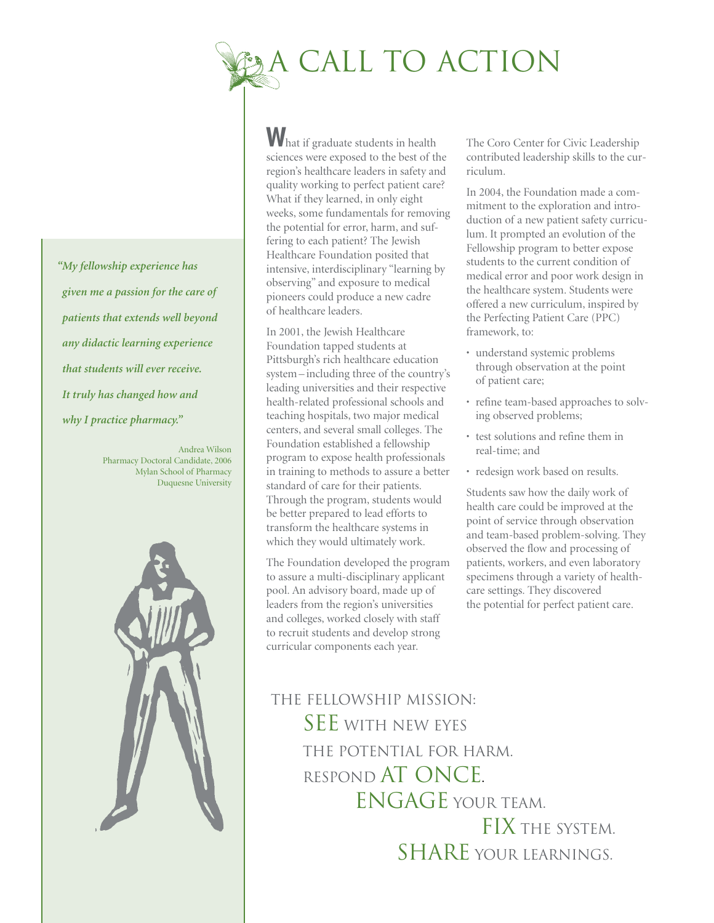

*"My fellowship experience has given me a passion for the care of patients that extends well beyond any didactic learning experience that students will ever receive. It truly has changed how and why I practice pharmacy."*

> Andrea Wilson Pharmacy Doctoral Candidate, 2006 Mylan School of Pharmacy Duquesne University



What if graduate students in health sciences were exposed to the best of the region's healthcare leaders in safety and quality working to perfect patient care? What if they learned, in only eight weeks, some fundamentals for removing the potential for error, harm, and suffering to each patient? The Jewish Healthcare Foundation posited that intensive, interdisciplinary "learning by observing" and exposure to medical pioneers could produce a new cadre of healthcare leaders.

In 2001, the Jewish Healthcare Foundation tapped students at Pittsburgh's rich healthcare education system – including three of the country's leading universities and their respective health-related professional schools and teaching hospitals, two major medical centers, and several small colleges. The Foundation established a fellowship program to expose health professionals in training to methods to assure a better standard of care for their patients. Through the program, students would be better prepared to lead efforts to transform the healthcare systems in which they would ultimately work.

The Foundation developed the program to assure a multi-disciplinary applicant pool. An advisory board, made up of leaders from the region's universities and colleges, worked closely with staff to recruit students and develop strong curricular components each year.

The Coro Center for Civic Leadership contributed leadership skills to the curriculum.

In 2004, the Foundation made a commitment to the exploration and introduction of a new patient safety curriculum. It prompted an evolution of the Fellowship program to better expose students to the current condition of medical error and poor work design in the healthcare system. Students were offered a new curriculum, inspired by the Perfecting Patient Care (PPC) framework, to:

- understand systemic problems through observation at the point of patient care;
- refine team-based approaches to solving observed problems;
- test solutions and refine them in real-time; and
- redesign work based on results.

Students saw how the daily work of health care could be improved at the point of service through observation and team-based problem-solving. They observed the flow and processing of patients, workers, and even laboratory specimens through a variety of healthcare settings. They discovered the potential for perfect patient care.

The Fellowship Mission: SEE WITH NEW EYES the potential for harm. Respond at once. ENGAGE YOUR TEAM. FIX THE SYSTEM. SHARE YOUR LEARNINGS.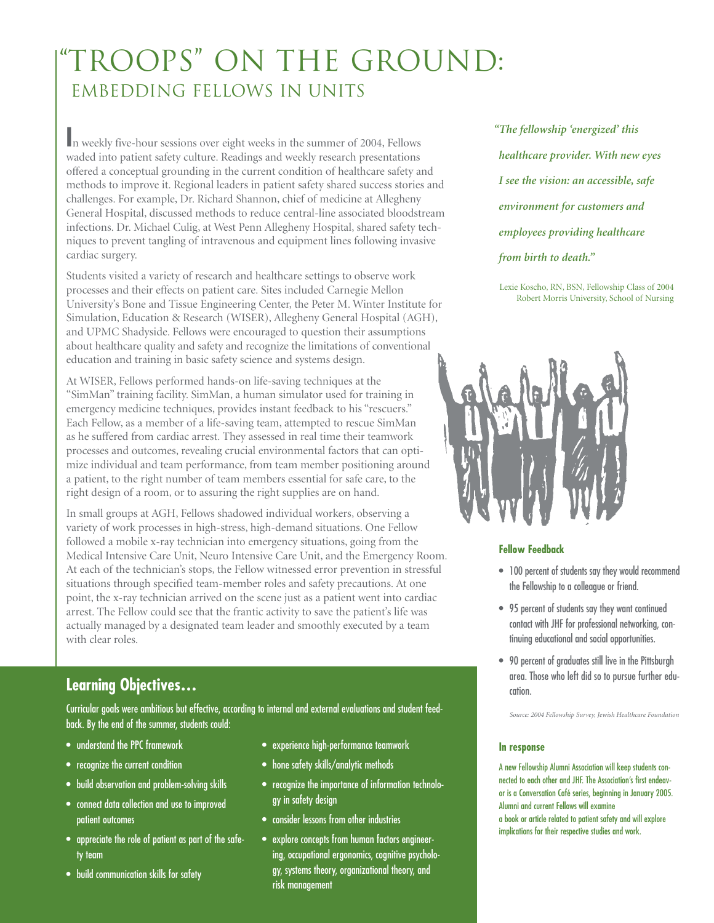# TROOPS" ON THE GROUND: EMBEDDING FELLOWS IN UNITS

**I**n weekly five-hour sessions over eight weeks in the summer of 2004, Fellows waded into patient safety culture. Readings and weekly research presentations offered a conceptual grounding in the current condition of healthcare safety and methods to improve it. Regional leaders in patient safety shared success stories and challenges. For example, Dr. Richard Shannon, chief of medicine at Allegheny General Hospital, discussed methods to reduce central-line associated bloodstream infections. Dr. Michael Culig, at West Penn Allegheny Hospital, shared safety techniques to prevent tangling of intravenous and equipment lines following invasive cardiac surgery.

Students visited a variety of research and healthcare settings to observe work processes and their effects on patient care. Sites included Carnegie Mellon University's Bone and Tissue Engineering Center, the Peter M. Winter Institute for Simulation, Education & Research (WISER), Allegheny General Hospital (AGH), and UPMC Shadyside. Fellows were encouraged to question their assumptions about healthcare quality and safety and recognize the limitations of conventional education and training in basic safety science and systems design.

At WISER, Fellows performed hands-on life-saving techniques at the "SimMan" training facility. SimMan, a human simulator used for training in emergency medicine techniques, provides instant feedback to his "rescuers." Each Fellow, as a member of a life-saving team, attempted to rescue SimMan as he suffered from cardiac arrest. They assessed in real time their teamwork processes and outcomes, revealing crucial environmental factors that can optimize individual and team performance, from team member positioning around a patient, to the right number of team members essential for safe care, to the right design of a room, or to assuring the right supplies are on hand.

In small groups at AGH, Fellows shadowed individual workers, observing a variety of work processes in high-stress, high-demand situations. One Fellow followed a mobile x-ray technician into emergency situations, going from the Medical Intensive Care Unit, Neuro Intensive Care Unit, and the Emergency Room. At each of the technician's stops, the Fellow witnessed error prevention in stressful situations through specified team-member roles and safety precautions. At one point, the x-ray technician arrived on the scene just as a patient went into cardiac arrest. The Fellow could see that the frantic activity to save the patient's life was actually managed by a designated team leader and smoothly executed by a team with clear roles.

### **Learning Objectives…**

Curricular goals were ambitious but effective, according to internal and external evaluations and student feedback. By the end of the summer, students could:

- understand the PPC framework
- recognize the current condition
- build observation and problem-solving skills
- connect data collection and use to improved patient outcomes
- appreciate the role of patient as part of the safety team
- build communication skills for safety
- experience high-performance teamwork
- hone safety skills/analytic methods
- recognize the importance of information technology in safety design
- consider lessons from other industries
- explore concepts from human factors engineering, occupational ergonomics, cognitive psychology, systems theory, organizational theory, and risk management

*"The fellowship 'energized' this healthcare provider. With new eyes I see the vision: an accessible, safe environment for customers and employees providing healthcare from birth to death."*

Lexie Koscho, RN, BSN, Fellowship Class of 2004 Robert Morris University, School of Nursing



### **Fellow Feedback**

- 100 percent of students say they would recommend the Fellowship to a colleague or friend.
- 95 percent of students say they want continued contact with JHF for professional networking, continuing educational and social opportunities.
- 90 percent of graduates still live in the Pittsburgh area. Those who left did so to pursue further education.

*Source: 2004 Fellowship Survey, Jewish Healthcare Foundation*

### **In response**

A new Fellowship Alumni Association will keep students connected to each other and JHF. The Association's first endeavor is a Conversation Café series, beginning in January 2005. Alumni and current Fellows will examine a book or article related to patient safety and will explore implications for their respective studies and work.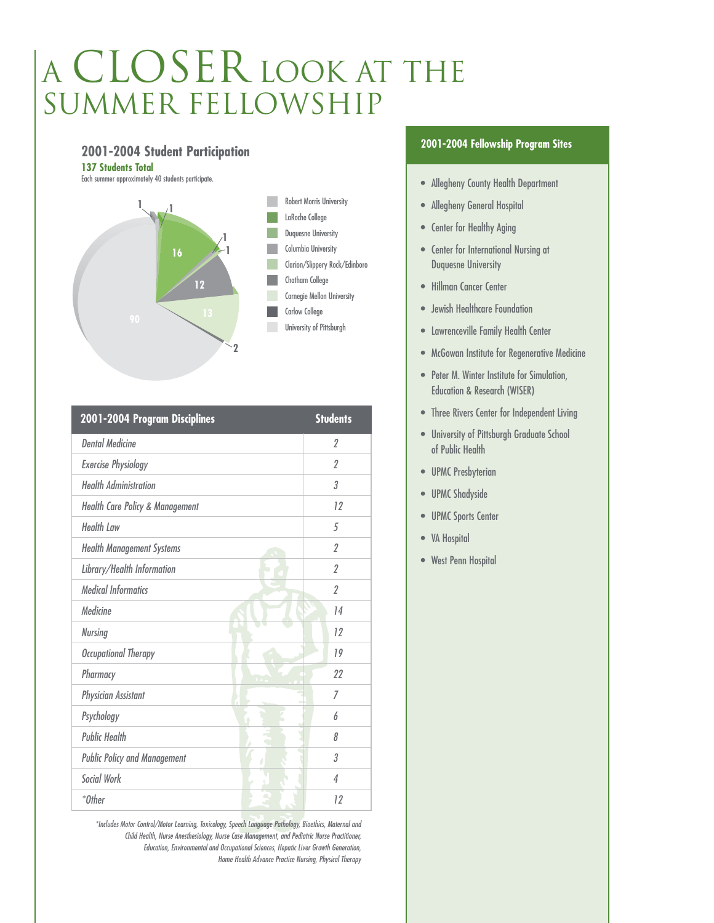# A CLOSER LOOK AT THE SUMMER FELLOWSHIP

### **2001-2004 Student Participation**

**137 Students Total**





| 2001-2004 Program Disciplines              | <b>Students</b>          |
|--------------------------------------------|--------------------------|
| <b>Dental Medicine</b>                     | $\overline{\mathcal{L}}$ |
| <b>Exercise Physiology</b>                 | $\overline{2}$           |
| <b>Health Administration</b>               | 3                        |
| <b>Health Care Policy &amp; Management</b> | 12                       |
| <b>Health Law</b>                          | 5                        |
| <b>Health Management Systems</b>           | $\mathfrak{p}$           |
| Library/Health Information                 | $\overline{\mathcal{L}}$ |
| <b>Medical Informatics</b>                 | $\overline{2}$           |
| Medicine                                   | 14                       |
| <b>Nursing</b>                             | 12                       |
| <b>Occupational Therapy</b>                | 19                       |
| Pharmacy                                   | 22                       |
| <b>Physician Assistant</b>                 | 7                        |
| Psychology                                 | h                        |
| <b>Public Health</b>                       | 8                        |
| <b>Public Policy and Management</b>        | 3                        |
| <b>Social Work</b>                         | $\overline{4}$           |
| *Other                                     | 12                       |
|                                            |                          |

\*Includes Motor Control/Motor Learning, Toxicology, Speech Language Pathology, Bioethics, Maternal and Child Health, Nurse Anesthesiology, Nurse Case Management, and Pediatric Nurse Practitioner, Education, Environmental and Occupational Sciences, Hepatic Liver Growth Generation, Home Health Advance Practice Nursing, Physical Therapy

### **2001-2004 Fellowship Program Sites**

- Allegheny County Health Department
- Allegheny General Hospital
- Center for Healthy Aging
- Center for International Nursing at Duquesne University
- Hillman Cancer Center
- Jewish Healthcare Foundation
- Lawrenceville Family Health Center
- McGowan Institute for Regenerative Medicine
- Peter M. Winter Institute for Simulation, Education & Research (WISER)
- Three Rivers Center for Independent Living
- University of Pittsburgh Graduate School of Public Health
- UPMC Presbyterian
- UPMC Shadyside
- UPMC Sports Center
- VA Hospital
- West Penn Hospital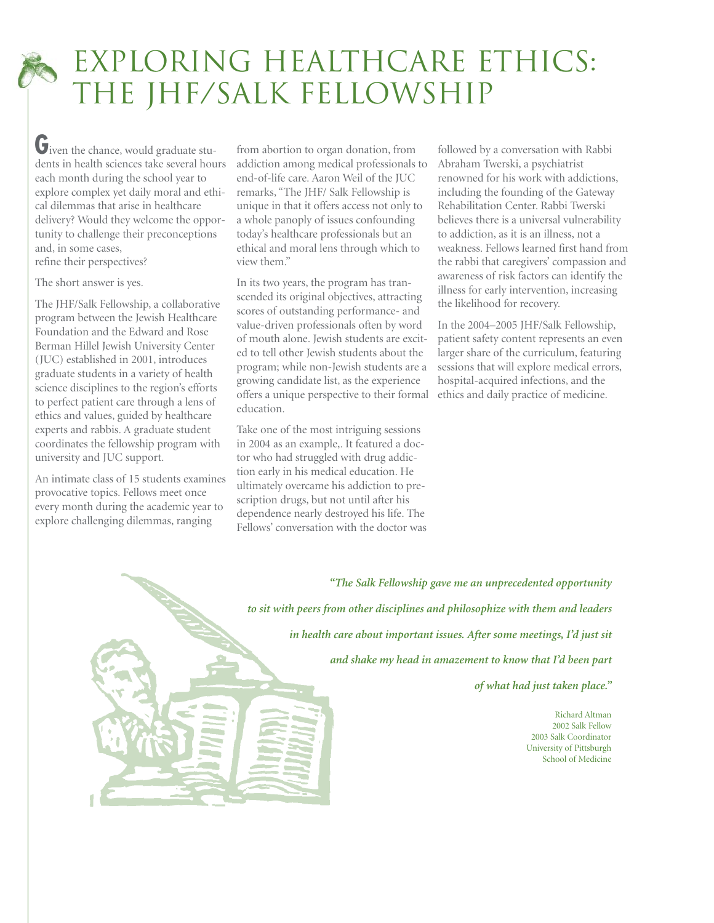# EXPLORING HEALTHCARE ETHICS: THE JHF/SALK FELLOWSHIP

**G**iven the chance, would graduate students in health sciences take several hours each month during the school year to explore complex yet daily moral and ethical dilemmas that arise in healthcare delivery? Would they welcome the opportunity to challenge their preconceptions and, in some cases, refine their perspectives?

### The short answer is yes.

The JHF/Salk Fellowship, a collaborative program between the Jewish Healthcare Foundation and the Edward and Rose Berman Hillel Jewish University Center (JUC) established in 2001, introduces graduate students in a variety of health science disciplines to the region's efforts to perfect patient care through a lens of ethics and values, guided by healthcare experts and rabbis. A graduate student coordinates the fellowship program with university and JUC support.

An intimate class of 15 students examines provocative topics. Fellows meet once every month during the academic year to explore challenging dilemmas, ranging

from abortion to organ donation, from addiction among medical professionals to end-of-life care. Aaron Weil of the JUC remarks, "The JHF/ Salk Fellowship is unique in that it offers access not only to a whole panoply of issues confounding today's healthcare professionals but an ethical and moral lens through which to view them."

In its two years, the program has transcended its original objectives, attracting scores of outstanding performance- and value-driven professionals often by word of mouth alone. Jewish students are excited to tell other Jewish students about the program; while non-Jewish students are a growing candidate list, as the experience offers a unique perspective to their formal education.

Take one of the most intriguing sessions in 2004 as an example,. It featured a doctor who had struggled with drug addiction early in his medical education. He ultimately overcame his addiction to prescription drugs, but not until after his dependence nearly destroyed his life. The Fellows' conversation with the doctor was followed by a conversation with Rabbi Abraham Twerski, a psychiatrist renowned for his work with addictions, including the founding of the Gateway Rehabilitation Center. Rabbi Twerski believes there is a universal vulnerability to addiction, as it is an illness, not a weakness. Fellows learned first hand from the rabbi that caregivers' compassion and awareness of risk factors can identify the illness for early intervention, increasing the likelihood for recovery.

In the 2004–2005 JHF/Salk Fellowship, patient safety content represents an even larger share of the curriculum, featuring sessions that will explore medical errors, hospital-acquired infections, and the ethics and daily practice of medicine.

*"The Salk Fellowship gave me an unprecedented opportunity to sit with peers from other disciplines and philosophize with them and leaders in health care about important issues. After some meetings, I'd just sit and shake my head in amazement to know that I'd been part of what had just taken place."*

> Richard Altman 2002 Salk Fellow 2003 Salk Coordinator University of Pittsburgh School of Medicine